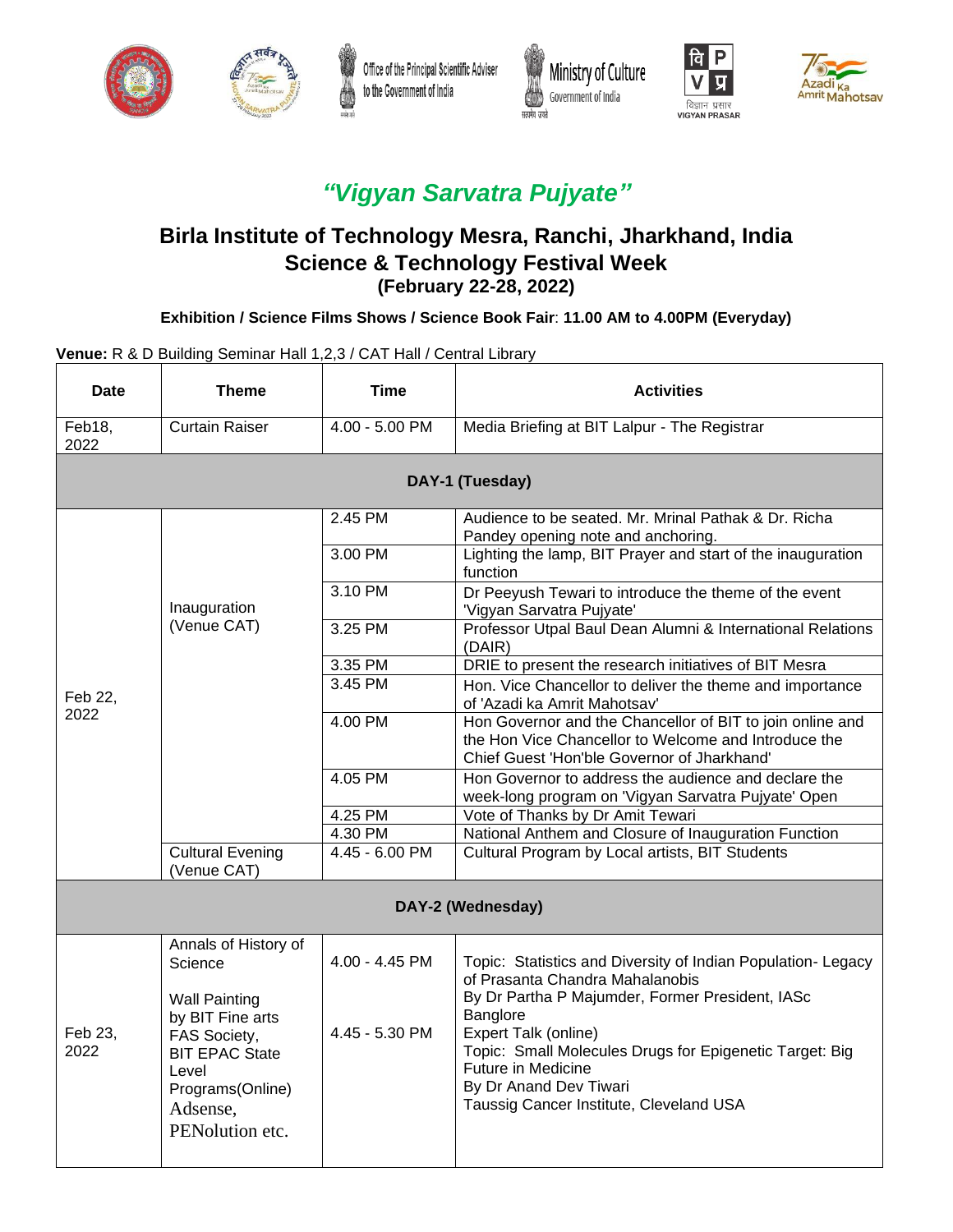









# *"Vigyan Sarvatra Pujyate"*

## **Birla Institute of Technology Mesra, Ranchi, Jharkhand, India Science & Technology Festival Week (February 22-28, 2022)**

#### **Exhibition / Science Films Shows / Science Book Fair**: **11.00 AM to 4.00PM (Everyday)**

#### **Venue:** R & D Building Seminar Hall 1,2,3 / CAT Hall / Central Library

| Date            | <b>Theme</b>                                                                                                          | Time               | <b>Activities</b>                                                                                                                                                                             |  |
|-----------------|-----------------------------------------------------------------------------------------------------------------------|--------------------|-----------------------------------------------------------------------------------------------------------------------------------------------------------------------------------------------|--|
| Feb18,<br>2022  | Curtain Raiser                                                                                                        | 4.00 - 5.00 PM     | Media Briefing at BIT Lalpur - The Registrar                                                                                                                                                  |  |
|                 |                                                                                                                       |                    | DAY-1 (Tuesday)                                                                                                                                                                               |  |
|                 |                                                                                                                       | 2.45 PM<br>3.00 PM | Audience to be seated. Mr. Mrinal Pathak & Dr. Richa<br>Pandey opening note and anchoring.<br>Lighting the lamp, BIT Prayer and start of the inauguration                                     |  |
|                 | Inauguration                                                                                                          | 3.10 PM            | function<br>Dr Peeyush Tewari to introduce the theme of the event<br>'Vigyan Sarvatra Pujyate'                                                                                                |  |
|                 | (Venue CAT)                                                                                                           | 3.25 PM            | Professor Utpal Baul Dean Alumni & International Relations<br>(DAIR)                                                                                                                          |  |
|                 |                                                                                                                       | 3.35 PM            | DRIE to present the research initiatives of BIT Mesra                                                                                                                                         |  |
| Feb 22.<br>2022 |                                                                                                                       | 3.45 PM            | Hon. Vice Chancellor to deliver the theme and importance<br>of 'Azadi ka Amrit Mahotsav'                                                                                                      |  |
|                 |                                                                                                                       | 4.00 PM            | Hon Governor and the Chancellor of BIT to join online and<br>the Hon Vice Chancellor to Welcome and Introduce the<br>Chief Guest 'Hon'ble Governor of Jharkhand'                              |  |
|                 |                                                                                                                       | 4.05 PM            | Hon Governor to address the audience and declare the<br>week-long program on 'Vigyan Sarvatra Pujyate' Open                                                                                   |  |
|                 |                                                                                                                       | 4.25 PM            | Vote of Thanks by Dr Amit Tewari                                                                                                                                                              |  |
|                 |                                                                                                                       | 4.30 PM            | National Anthem and Closure of Inauguration Function                                                                                                                                          |  |
|                 | <b>Cultural Evening</b><br>(Venue CAT)                                                                                | 4.45 - 6.00 PM     | Cultural Program by Local artists, BIT Students                                                                                                                                               |  |
|                 |                                                                                                                       |                    | DAY-2 (Wednesday)                                                                                                                                                                             |  |
| Feb 23,<br>2022 | Annals of History of<br>Science<br><b>Wall Painting</b>                                                               | 4.00 - 4.45 PM     | Topic: Statistics and Diversity of Indian Population- Legacy<br>of Prasanta Chandra Mahalanobis<br>By Dr Partha P Majumder, Former President, IASc                                            |  |
|                 | by BIT Fine arts<br>FAS Society,<br><b>BIT EPAC State</b><br>Level<br>Programs(Online)<br>Adsense,<br>PENolution etc. | 4.45 - 5.30 PM     | Banglore<br>Expert Talk (online)<br>Topic: Small Molecules Drugs for Epigenetic Target: Big<br><b>Future in Medicine</b><br>By Dr Anand Dev Tiwari<br>Taussig Cancer Institute, Cleveland USA |  |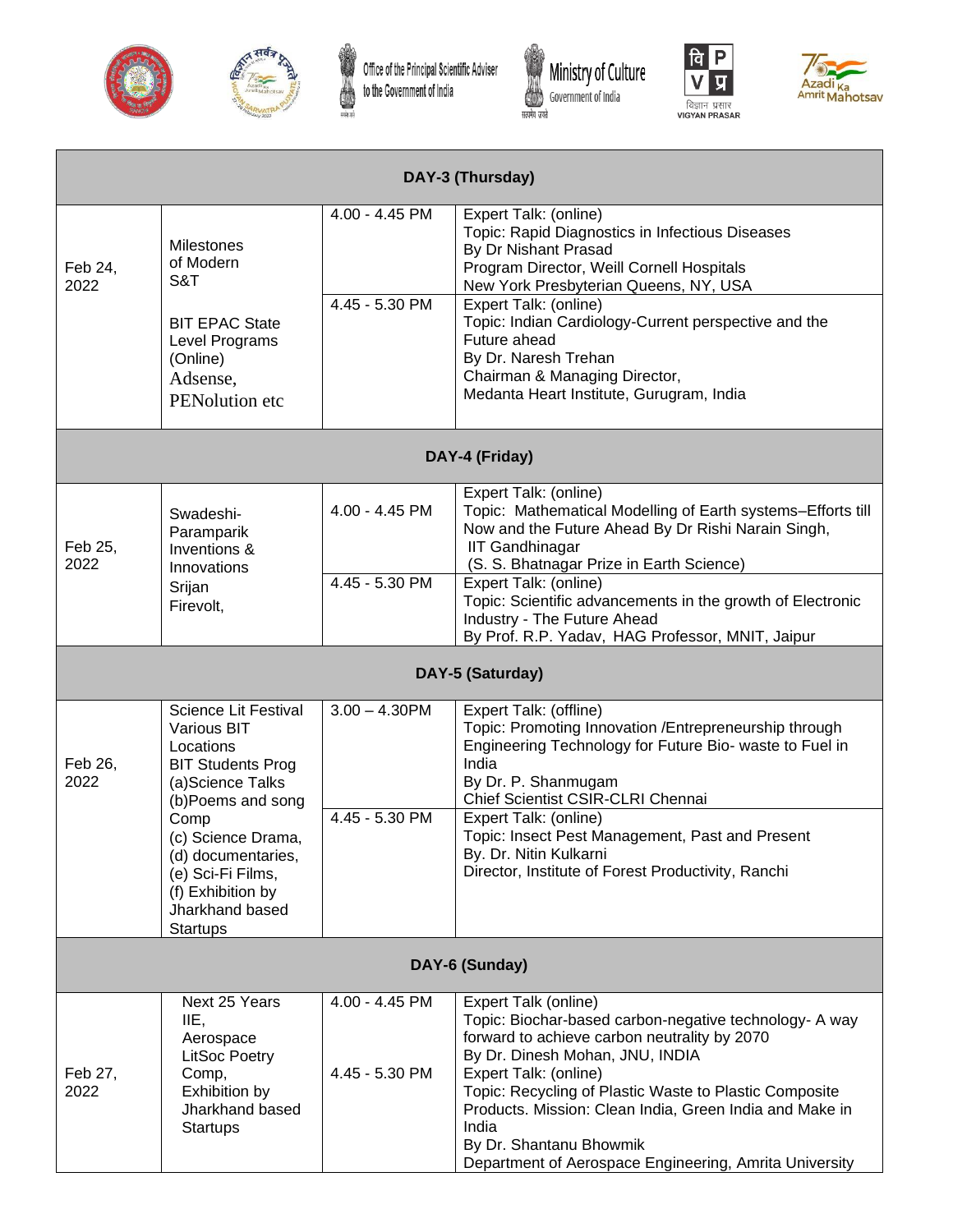











| DAY-3 (Thursday) |                                                                                                                                                                                                                                                                         |                                  |                                                                                                                                                                                                                                                                                                                                                                                                               |  |  |
|------------------|-------------------------------------------------------------------------------------------------------------------------------------------------------------------------------------------------------------------------------------------------------------------------|----------------------------------|---------------------------------------------------------------------------------------------------------------------------------------------------------------------------------------------------------------------------------------------------------------------------------------------------------------------------------------------------------------------------------------------------------------|--|--|
| Feb 24,<br>2022  | Milestones<br>of Modern<br>S&T<br><b>BIT EPAC State</b><br>Level Programs<br>(Online)<br>Adsense,<br>PENolution etc                                                                                                                                                     | 4.00 - 4.45 PM<br>4.45 - 5.30 PM | Expert Talk: (online)<br>Topic: Rapid Diagnostics in Infectious Diseases<br>By Dr Nishant Prasad<br>Program Director, Weill Cornell Hospitals<br>New York Presbyterian Queens, NY, USA<br>Expert Talk: (online)<br>Topic: Indian Cardiology-Current perspective and the<br>Future ahead<br>By Dr. Naresh Trehan<br>Chairman & Managing Director,<br>Medanta Heart Institute, Gurugram, India                  |  |  |
|                  |                                                                                                                                                                                                                                                                         |                                  | DAY-4 (Friday)                                                                                                                                                                                                                                                                                                                                                                                                |  |  |
| Feb 25,<br>2022  | Swadeshi-<br>Paramparik<br>Inventions &<br>Innovations<br>Srijan                                                                                                                                                                                                        | 4.00 - 4.45 PM<br>4.45 - 5.30 PM | Expert Talk: (online)<br>Topic: Mathematical Modelling of Earth systems-Efforts till<br>Now and the Future Ahead By Dr Rishi Narain Singh,<br><b>IIT Gandhinagar</b><br>(S. S. Bhatnagar Prize in Earth Science)<br>Expert Talk: (online)<br>Topic: Scientific advancements in the growth of Electronic                                                                                                       |  |  |
|                  | Firevolt,                                                                                                                                                                                                                                                               |                                  | Industry - The Future Ahead<br>By Prof. R.P. Yadav, HAG Professor, MNIT, Jaipur                                                                                                                                                                                                                                                                                                                               |  |  |
|                  |                                                                                                                                                                                                                                                                         |                                  | DAY-5 (Saturday)                                                                                                                                                                                                                                                                                                                                                                                              |  |  |
| Feb 26,<br>2022  | <b>Science Lit Festival</b><br><b>Various BIT</b><br>Locations<br><b>BIT Students Prog</b><br>(a)Science Talks<br>(b)Poems and song<br>Comp<br>(c) Science Drama,<br>(d) documentaries,<br>(e) Sci-Fi Films,<br>(f) Exhibition by<br>Jharkhand based<br><b>Startups</b> | $3.00 - 4.30$ PM                 | Expert Talk: (offline)<br>Topic: Promoting Innovation /Entrepreneurship through<br>Engineering Technology for Future Bio- waste to Fuel in<br>India<br>By Dr. P. Shanmugam<br>Chief Scientist CSIR-CLRI Chennai                                                                                                                                                                                               |  |  |
|                  |                                                                                                                                                                                                                                                                         | 4.45 - 5.30 PM                   | Expert Talk: (online)<br>Topic: Insect Pest Management, Past and Present<br>By. Dr. Nitin Kulkarni<br>Director, Institute of Forest Productivity, Ranchi                                                                                                                                                                                                                                                      |  |  |
| DAY-6 (Sunday)   |                                                                                                                                                                                                                                                                         |                                  |                                                                                                                                                                                                                                                                                                                                                                                                               |  |  |
| Feb 27,<br>2022  | Next 25 Years<br>IIE,<br>Aerospace<br>LitSoc Poetry<br>Comp,<br>Exhibition by<br>Jharkhand based<br><b>Startups</b>                                                                                                                                                     | 4.00 - 4.45 PM<br>4.45 - 5.30 PM | Expert Talk (online)<br>Topic: Biochar-based carbon-negative technology- A way<br>forward to achieve carbon neutrality by 2070<br>By Dr. Dinesh Mohan, JNU, INDIA<br>Expert Talk: (online)<br>Topic: Recycling of Plastic Waste to Plastic Composite<br>Products. Mission: Clean India, Green India and Make in<br>India<br>By Dr. Shantanu Bhowmik<br>Department of Aerospace Engineering, Amrita University |  |  |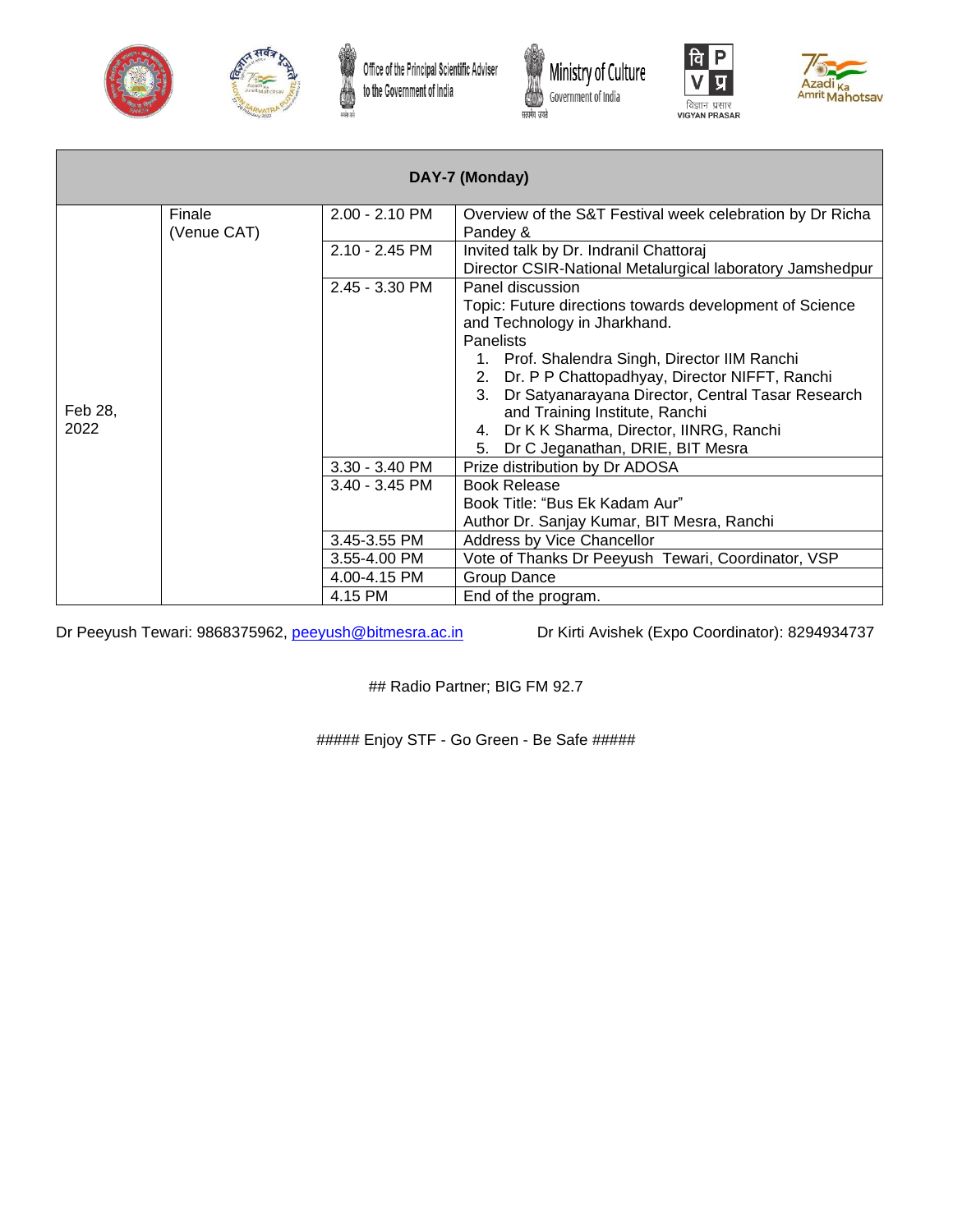











| DAY-7 (Monday) |             |                  |                                                                                                                         |  |  |
|----------------|-------------|------------------|-------------------------------------------------------------------------------------------------------------------------|--|--|
|                | Finale      | 2.00 - 2.10 PM   | Overview of the S&T Festival week celebration by Dr Richa                                                               |  |  |
|                | (Venue CAT) | Pandey &         |                                                                                                                         |  |  |
|                |             | $2.10 - 2.45$ PM | Invited talk by Dr. Indranil Chattoraj                                                                                  |  |  |
|                |             |                  | Director CSIR-National Metalurgical laboratory Jamshedpur                                                               |  |  |
|                |             | $2.45 - 3.30$ PM | Panel discussion                                                                                                        |  |  |
|                |             |                  | Topic: Future directions towards development of Science                                                                 |  |  |
|                |             |                  | and Technology in Jharkhand.                                                                                            |  |  |
|                |             |                  | <b>Panelists</b>                                                                                                        |  |  |
|                |             |                  | 1. Prof. Shalendra Singh, Director IIM Ranchi                                                                           |  |  |
|                |             |                  | 2. Dr. P P Chattopadhyay, Director NIFFT, Ranchi<br>Dr Satyanarayana Director, Central Tasar Research<br>3 <sub>1</sub> |  |  |
| Feb 28,        |             |                  | and Training Institute, Ranchi                                                                                          |  |  |
| 2022           |             |                  | 4. Dr K K Sharma, Director, IINRG, Ranchi                                                                               |  |  |
|                |             |                  | Dr C Jeganathan, DRIE, BIT Mesra<br>5.                                                                                  |  |  |
|                |             | 3.30 - 3.40 PM   | Prize distribution by Dr ADOSA                                                                                          |  |  |
|                |             | $3.40 - 3.45$ PM | <b>Book Release</b>                                                                                                     |  |  |
|                |             |                  | Book Title: "Bus Ek Kadam Aur"                                                                                          |  |  |
|                |             |                  | Author Dr. Sanjay Kumar, BIT Mesra, Ranchi                                                                              |  |  |
|                |             | 3.45-3.55 PM     | Address by Vice Chancellor                                                                                              |  |  |
|                |             | 3.55-4.00 PM     | Vote of Thanks Dr Peeyush Tewari, Coordinator, VSP                                                                      |  |  |
|                |             | 4.00-4.15 PM     | Group Dance                                                                                                             |  |  |
|                |             | 4.15 PM          | End of the program.                                                                                                     |  |  |

Dr Peeyush Tewari: 9868375962, *peeyush@bitmesra.ac.in* Dr Kirti Avishek (Expo Coordinator): 8294934737

## Radio Partner; BIG FM 92.7

##### Enjoy STF - Go Green - Be Safe #####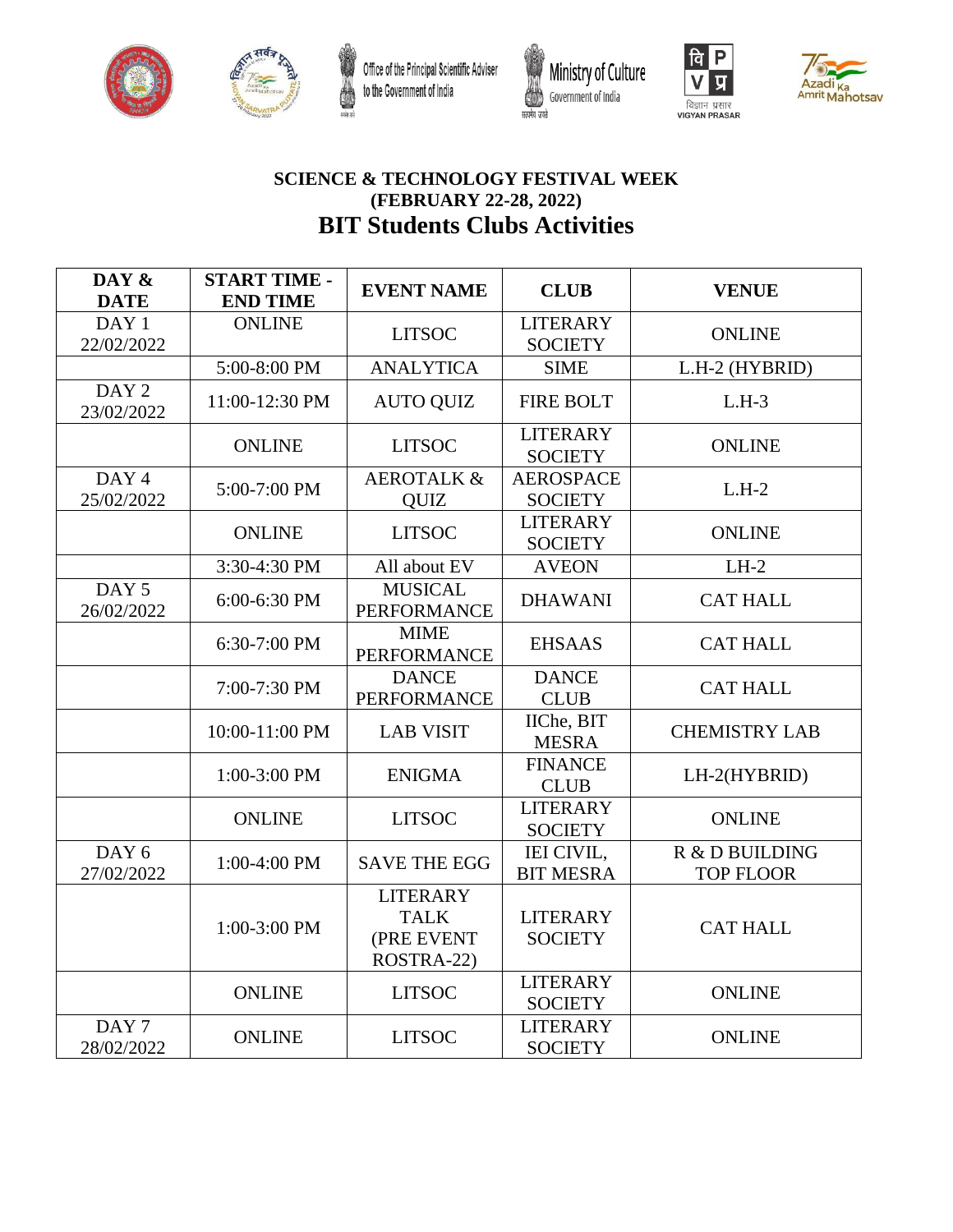







### **SCIENCE & TECHNOLOGY FESTIVAL WEEK (FEBRUARY 22-28, 2022) BIT Students Clubs Activities**

| DAY &<br><b>DATE</b>           | <b>START TIME -</b><br><b>END TIME</b> | <b>EVENT NAME</b>                                          | <b>CLUB</b>                        | <b>VENUE</b>                       |
|--------------------------------|----------------------------------------|------------------------------------------------------------|------------------------------------|------------------------------------|
| DAY 1<br>22/02/2022            | <b>ONLINE</b>                          | <b>LITSOC</b>                                              | <b>LITERARY</b><br><b>SOCIETY</b>  | <b>ONLINE</b>                      |
|                                | 5:00-8:00 PM                           | <b>ANALYTICA</b>                                           | <b>SIME</b>                        | L.H-2 (HYBRID)                     |
| DAY <sub>2</sub><br>23/02/2022 | 11:00-12:30 PM                         | <b>AUTO QUIZ</b>                                           | <b>FIRE BOLT</b>                   | $L.H-3$                            |
|                                | <b>ONLINE</b>                          | <b>LITSOC</b>                                              | <b>LITERARY</b><br><b>SOCIETY</b>  | <b>ONLINE</b>                      |
| DAY 4<br>25/02/2022            | 5:00-7:00 PM                           | <b>AEROTALK &amp;</b><br><b>OUIZ</b>                       | <b>AEROSPACE</b><br><b>SOCIETY</b> | $L.H-2$                            |
|                                | <b>ONLINE</b>                          | <b>LITSOC</b>                                              | <b>LITERARY</b><br><b>SOCIETY</b>  | <b>ONLINE</b>                      |
|                                | 3:30-4:30 PM                           | All about EV                                               | <b>AVEON</b>                       | $LH-2$                             |
| DAY <sub>5</sub><br>26/02/2022 | 6:00-6:30 PM                           | <b>MUSICAL</b><br><b>PERFORMANCE</b>                       | <b>DHAWANI</b>                     | <b>CAT HALL</b>                    |
|                                | 6:30-7:00 PM                           | <b>MIME</b><br><b>PERFORMANCE</b>                          | <b>EHSAAS</b>                      | <b>CAT HALL</b>                    |
|                                | 7:00-7:30 PM                           | <b>DANCE</b><br><b>PERFORMANCE</b>                         | <b>DANCE</b><br><b>CLUB</b>        | <b>CAT HALL</b>                    |
|                                | 10:00-11:00 PM                         | <b>LAB VISIT</b>                                           | IIChe, BIT<br><b>MESRA</b>         | <b>CHEMISTRY LAB</b>               |
|                                | 1:00-3:00 PM                           | <b>ENIGMA</b>                                              | <b>FINANCE</b><br><b>CLUB</b>      | LH-2(HYBRID)                       |
|                                | <b>ONLINE</b>                          | <b>LITSOC</b>                                              | <b>LITERARY</b><br><b>SOCIETY</b>  | <b>ONLINE</b>                      |
| DAY 6<br>27/02/2022            | 1:00-4:00 PM                           | <b>SAVE THE EGG</b>                                        | IEI CIVIL,<br><b>BIT MESRA</b>     | R & D BUILDING<br><b>TOP FLOOR</b> |
|                                | 1:00-3:00 PM                           | <b>LITERARY</b><br><b>TALK</b><br>(PRE EVENT<br>ROSTRA-22) | <b>LITERARY</b><br><b>SOCIETY</b>  | <b>CAT HALL</b>                    |
|                                | <b>ONLINE</b>                          | <b>LITSOC</b>                                              | <b>LITERARY</b><br><b>SOCIETY</b>  | <b>ONLINE</b>                      |
| DAY <sub>7</sub><br>28/02/2022 | <b>ONLINE</b>                          | <b>LITSOC</b>                                              | <b>LITERARY</b><br><b>SOCIETY</b>  | <b>ONLINE</b>                      |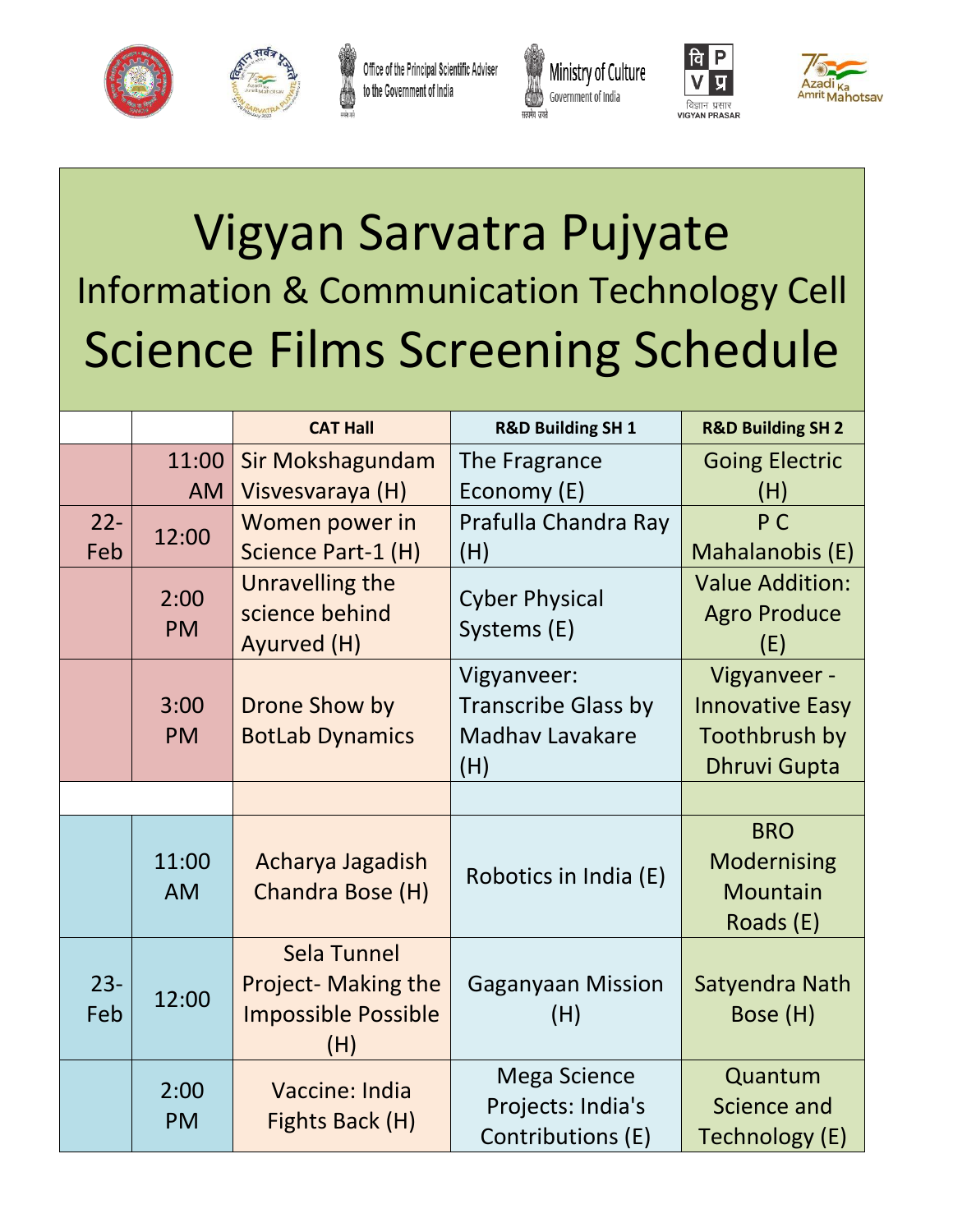



Office of the Principal Scientific Adviser to the Government of India







# Vigyan Sarvatra Pujyate Information & Communication Technology Cell Science Films Screening Schedule

|               |                    | <b>CAT Hall</b>                                                                | <b>R&amp;D Building SH 1</b>                                  | <b>R&amp;D Building SH 2</b>                              |
|---------------|--------------------|--------------------------------------------------------------------------------|---------------------------------------------------------------|-----------------------------------------------------------|
|               | 11:00              | Sir Mokshagundam                                                               | The Fragrance                                                 | <b>Going Electric</b>                                     |
|               | <b>AM</b>          | Visvesvaraya (H)                                                               | Economy (E)                                                   | (H)                                                       |
| $22 -$        | 12:00              | Women power in                                                                 | Prafulla Chandra Ray                                          | P <sub>C</sub>                                            |
| Feb           |                    | Science Part-1 (H)                                                             | (H)                                                           | Mahalanobis (E)                                           |
|               | 2:00               | Unravelling the                                                                | <b>Cyber Physical</b>                                         | <b>Value Addition:</b>                                    |
|               | <b>PM</b>          | science behind                                                                 | Systems (E)                                                   | <b>Agro Produce</b>                                       |
|               |                    | Ayurved (H)                                                                    |                                                               | (E)                                                       |
|               |                    |                                                                                | Vigyanveer:                                                   | Vigyanveer -                                              |
|               | 3:00               | Drone Show by                                                                  | <b>Transcribe Glass by</b>                                    | <b>Innovative Easy</b>                                    |
|               | <b>PM</b>          | <b>BotLab Dynamics</b>                                                         | <b>Madhav Lavakare</b>                                        | Toothbrush by                                             |
|               |                    |                                                                                | (H)                                                           | <b>Dhruvi Gupta</b>                                       |
|               |                    |                                                                                |                                                               |                                                           |
|               | 11:00<br><b>AM</b> | Acharya Jagadish<br>Chandra Bose (H)                                           | Robotics in India (E)                                         | <b>BRO</b><br>Modernising<br><b>Mountain</b><br>Roads (E) |
| $23 -$<br>Feb | 12:00              | Sela Tunnel<br><b>Project- Making the</b><br><b>Impossible Possible</b><br>(H) | <b>Gaganyaan Mission</b><br>(H)                               | Satyendra Nath<br>Bose (H)                                |
|               | 2:00<br><b>PM</b>  | Vaccine: India<br>Fights Back (H)                                              | <b>Mega Science</b><br>Projects: India's<br>Contributions (E) | Quantum<br><b>Science and</b><br>Technology (E)           |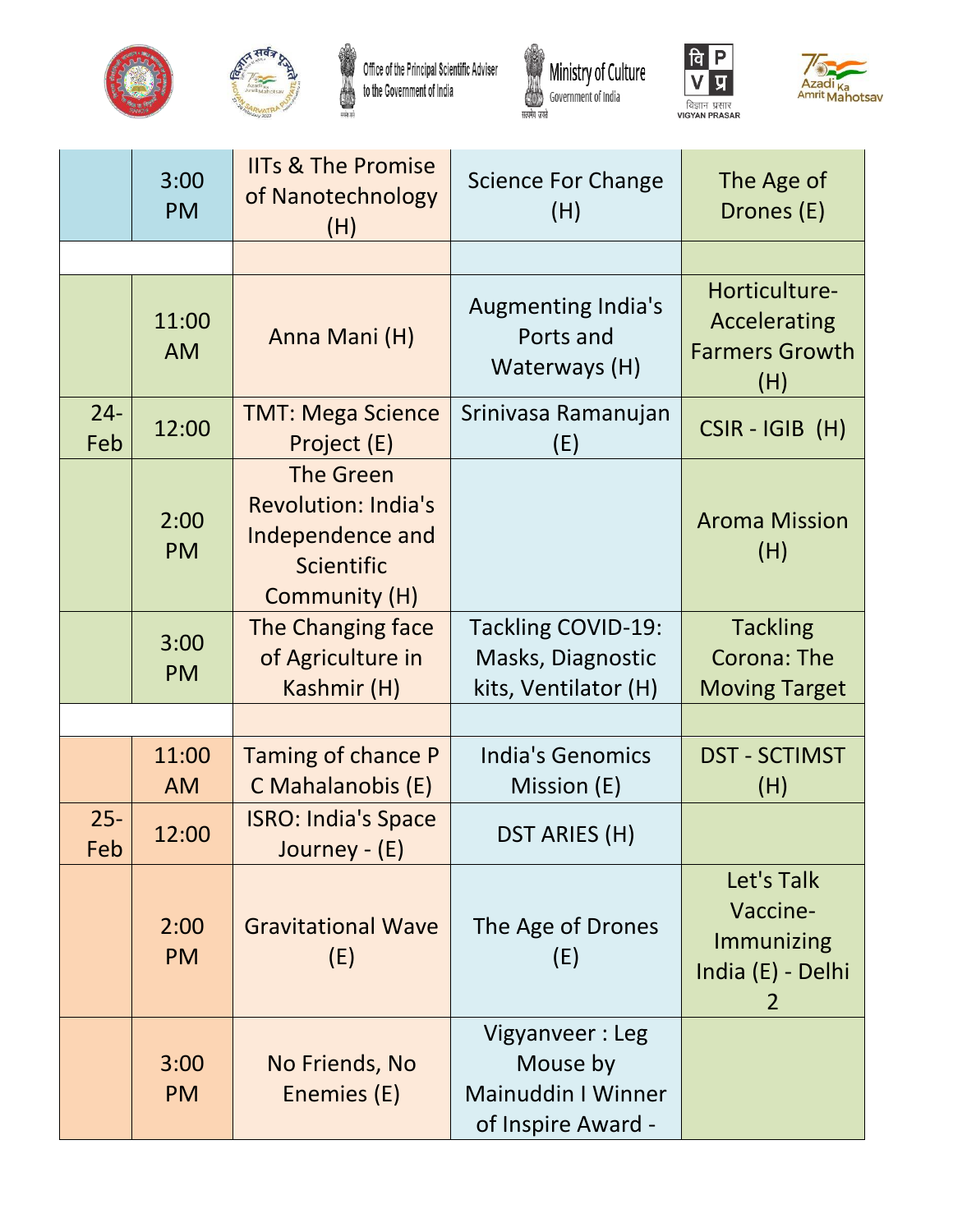



Office of the Principal Scientific Adviser<br>to the Government of India







|               | 3:00<br><b>PM</b>  | <b>IITs &amp; The Promise</b><br>of Nanotechnology<br>(H)                                         | <b>Science For Change</b><br>(H)                                               | The Age of<br>Drones (E)                                       |
|---------------|--------------------|---------------------------------------------------------------------------------------------------|--------------------------------------------------------------------------------|----------------------------------------------------------------|
|               |                    |                                                                                                   |                                                                                |                                                                |
|               | 11:00<br><b>AM</b> | Anna Mani (H)                                                                                     | <b>Augmenting India's</b><br>Ports and<br>Waterways (H)                        | Horticulture-<br>Accelerating<br><b>Farmers Growth</b><br>(H)  |
| $24 -$<br>Feb | 12:00              | <b>TMT: Mega Science</b><br>Project (E)                                                           | Srinivasa Ramanujan<br>(E)                                                     | $CSIR - IGIB$ (H)                                              |
|               | 2:00<br><b>PM</b>  | <b>The Green</b><br><b>Revolution: India's</b><br>Independence and<br>Scientific<br>Community (H) |                                                                                | <b>Aroma Mission</b><br>(H)                                    |
|               | 3:00<br><b>PM</b>  | The Changing face<br>of Agriculture in<br>Kashmir (H)                                             | <b>Tackling COVID-19:</b><br>Masks, Diagnostic<br>kits, Ventilator (H)         | <b>Tackling</b><br><b>Corona: The</b><br><b>Moving Target</b>  |
|               |                    |                                                                                                   |                                                                                |                                                                |
|               | 11:00<br><b>AM</b> | Taming of chance P<br>C Mahalanobis (E)                                                           | <b>India's Genomics</b><br>Mission (E)                                         | <b>DST - SCTIMST</b><br>(H)                                    |
| $25 -$<br>Feb | 12:00              | <b>ISRO: India's Space</b><br>Journey - (E)                                                       | DST ARIES (H)                                                                  |                                                                |
|               | 2:00<br><b>PM</b>  | <b>Gravitational Wave</b><br>(E)                                                                  | The Age of Drones<br>(E)                                                       | Let's Talk<br>Vaccine-<br>Immunizing<br>India (E) - Delhi<br>2 |
|               | 3:00<br><b>PM</b>  | No Friends, No<br>Enemies (E)                                                                     | Vigyanveer: Leg<br>Mouse by<br><b>Mainuddin I Winner</b><br>of Inspire Award - |                                                                |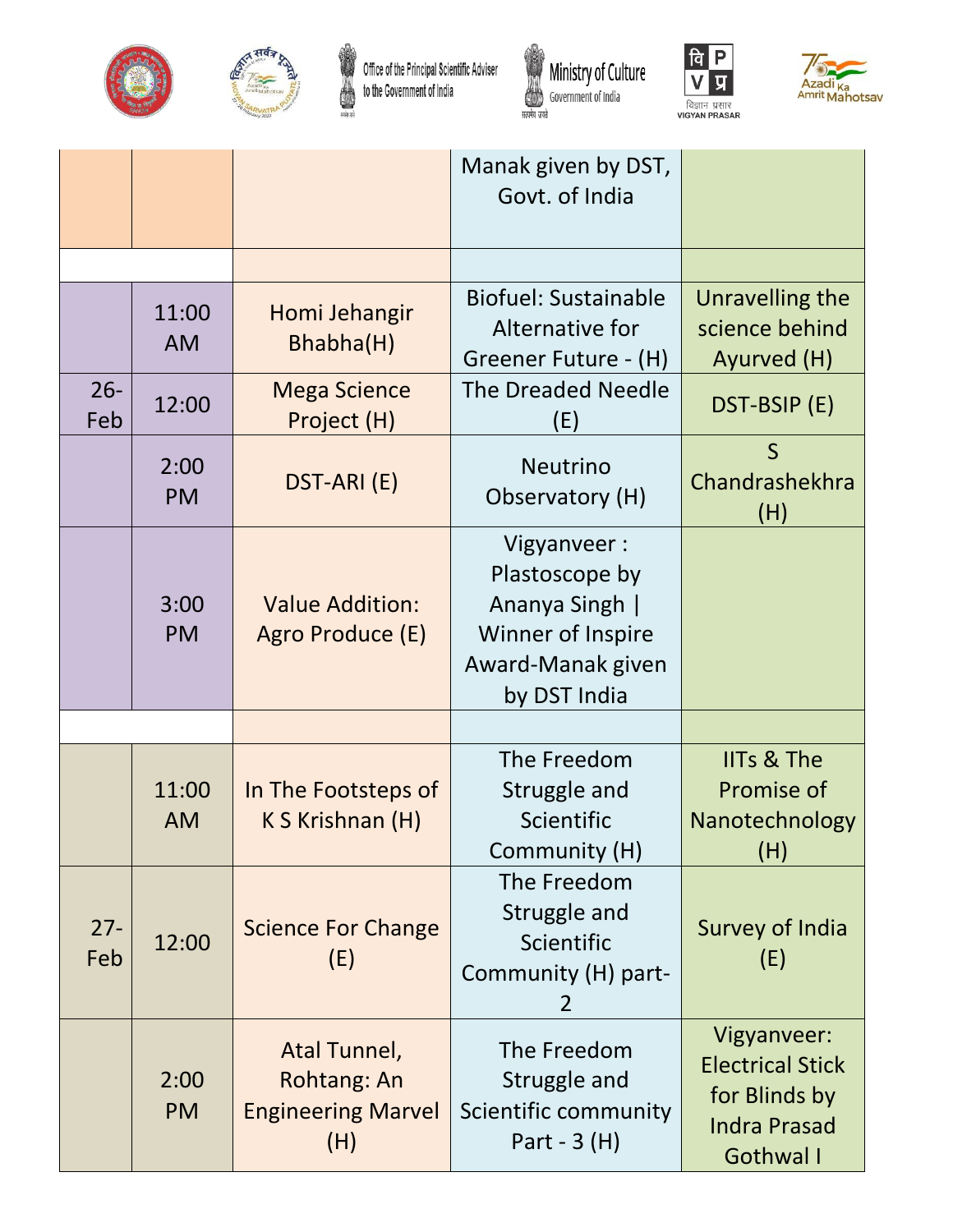



Office of the Principal Scientific Adviser<br>to the Government of India







|               |                    |                                                                 | Manak given by DST,<br>Govt. of India                                                                     |                                                                                             |
|---------------|--------------------|-----------------------------------------------------------------|-----------------------------------------------------------------------------------------------------------|---------------------------------------------------------------------------------------------|
|               |                    |                                                                 |                                                                                                           |                                                                                             |
|               | 11:00<br><b>AM</b> | Homi Jehangir<br>Bhabha(H)                                      | <b>Biofuel: Sustainable</b><br>Alternative for<br>Greener Future - (H)                                    | Unravelling the<br>science behind<br>Ayurved (H)                                            |
| $26 -$<br>Feb | 12:00              | <b>Mega Science</b><br>Project (H)                              | <b>The Dreaded Needle</b><br>(E)                                                                          | DST-BSIP (E)                                                                                |
|               | 2:00<br><b>PM</b>  | DST-ARI (E)                                                     | <b>Neutrino</b><br>Observatory (H)                                                                        | $\mathsf{S}$<br>Chandrashekhra<br>(H)                                                       |
|               | 3:00<br><b>PM</b>  | <b>Value Addition:</b><br>Agro Produce (E)                      | Vigyanveer:<br>Plastoscope by<br>Ananya Singh  <br>Winner of Inspire<br>Award-Manak given<br>by DST India |                                                                                             |
|               |                    |                                                                 |                                                                                                           |                                                                                             |
|               | 11:00<br><b>AM</b> | In The Footsteps of<br>K S Krishnan (H)                         | The Freedom<br>Struggle and<br>Scientific<br>Community (H)                                                | <b>IITs &amp; The</b><br>Promise of<br>Nanotechnology<br>(H)                                |
| $27 -$<br>Feb | 12:00              | <b>Science For Change</b><br>(E)                                | The Freedom<br>Struggle and<br>Scientific<br>Community (H) part-<br>2                                     | <b>Survey of India</b><br>(E)                                                               |
|               | 2:00<br><b>PM</b>  | Atal Tunnel,<br>Rohtang: An<br><b>Engineering Marvel</b><br>(H) | The Freedom<br>Struggle and<br>Scientific community<br>Part - $3(H)$                                      | Vigyanveer:<br><b>Electrical Stick</b><br>for Blinds by<br><b>Indra Prasad</b><br>Gothwal I |